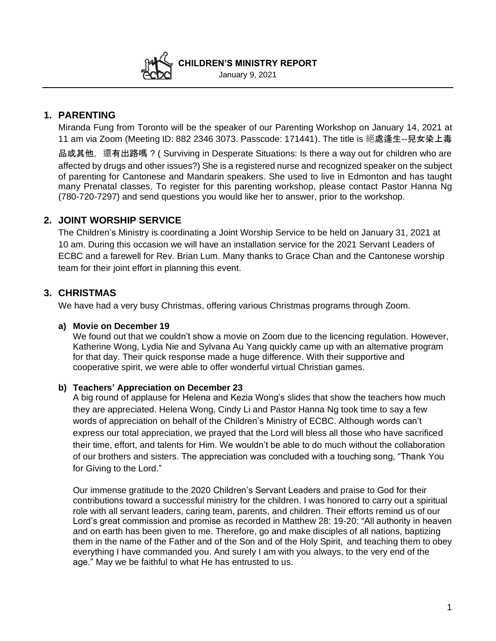**CHILDREN'S MINISTRY REPORT**  January 9, 2021

# **1. PARENTING**

Miranda Fung from Toronto will be the speaker of our Parenting Workshop on January 14, 2021 at 11 am via Zoom (Meeting ID: 882 2346 3073. Passcode: 171441). The title is 絕處逢生--兒女染上毒

品或其他, 還有出路嗎?( Surviving in Desperate Situations: Is there a way out for children who are affected by drugs and other issues?) She is a registered nurse and recognized speaker on the subject of parenting for Cantonese and Mandarin speakers. She used to live in Edmonton and has taught many Prenatal classes. To register for this parenting workshop, please contact Pastor Hanna Ng (780-720-7297) and send questions you would like her to answer, prior to the workshop.

# **2. JOINT WORSHIP SERVICE**

The Children's Ministry is coordinating a Joint Worship Service to be held on January 31, 2021 at 10 am. During this occasion we will have an installation service for the 2021 Servant Leaders of ECBC and a farewell for Rev. Brian Lum. Many thanks to Grace Chan and the Cantonese worship team for their joint effort in planning this event.

# **3. CHRISTMAS**

We have had a very busy Christmas, offering various Christmas programs through Zoom.

### **a) Movie on December 19**

We found out that we couldn't show a movie on Zoom due to the licencing regulation. However, Katherine Wong, Lydia Nie and Sylvana Au Yang quickly came up with an alternative program for that day. Their quick response made a huge difference. With their supportive and cooperative spirit, we were able to offer wonderful virtual Christian games.

### **b) Teachers' Appreciation on December 23**

A big round of applause for Helena and Kezia Wong's slides that show the teachers how much they are appreciated. Helena Wong, Cindy Li and Pastor Hanna Ng took time to say a few words of appreciation on behalf of the Children's Ministry of ECBC. Although words can't express our total appreciation, we prayed that the Lord will bless all those who have sacrificed their time, effort, and talents for Him. We wouldn't be able to do much without the collaboration of our brothers and sisters. The appreciation was concluded with a touching song, "Thank You for Giving to the Lord."

Our immense gratitude to the 2020 Children's Servant Leaders and praise to God for their contributions toward a successful ministry for the children. I was honored to carry out a spiritual role with all servant leaders, caring team, parents, and children. Their efforts remind us of our Lord's great commission and promise as recorded in Matthew 28: 19-20: "All authority in heaven and on earth has been given to me. Therefore, go and make disciples of all nations, baptizing them in the name of the Father and of the Son and of the Holy Spirit, and teaching them to obey everything I have commanded you. And surely I am with you always, to the very end of the age." May we be faithful to what He has entrusted to us.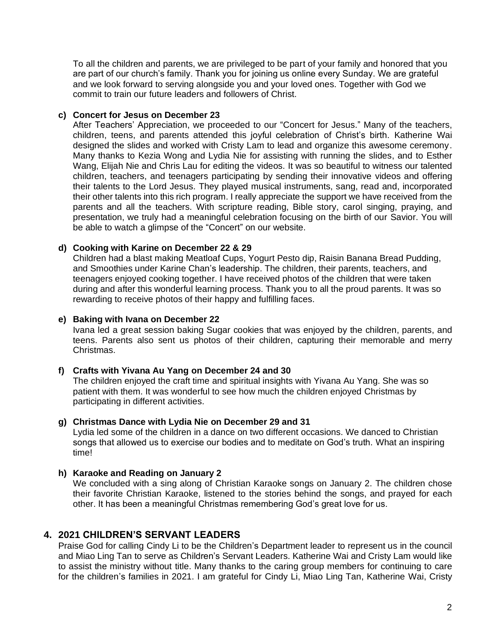To all the children and parents, we are privileged to be part of your family and honored that you are part of our church's family. Thank you for joining us online every Sunday. We are grateful and we look forward to serving alongside you and your loved ones. Together with God we commit to train our future leaders and followers of Christ.

### **c) Concert for Jesus on December 23**

After Teachers' Appreciation, we proceeded to our "Concert for Jesus." Many of the teachers, children, teens, and parents attended this joyful celebration of Christ's birth. Katherine Wai designed the slides and worked with Cristy Lam to lead and organize this awesome ceremony. Many thanks to Kezia Wong and Lydia Nie for assisting with running the slides, and to Esther Wang, Elijah Nie and Chris Lau for editing the videos. It was so beautiful to witness our talented children, teachers, and teenagers participating by sending their innovative videos and offering their talents to the Lord Jesus. They played musical instruments, sang, read and, incorporated their other talents into this rich program. I really appreciate the support we have received from the parents and all the teachers. With scripture reading, Bible story, carol singing, praying, and presentation, we truly had a meaningful celebration focusing on the birth of our Savior. You will be able to watch a glimpse of the "Concert" on our website.

#### **d) Cooking with Karine on December 22 & 29**

Children had a blast making Meatloaf Cups, Yogurt Pesto dip, Raisin Banana Bread Pudding, and Smoothies under Karine Chan's leadership. The children, their parents, teachers, and teenagers enjoyed cooking together. I have received photos of the children that were taken during and after this wonderful learning process. Thank you to all the proud parents. It was so rewarding to receive photos of their happy and fulfilling faces.

#### **e) Baking with Ivana on December 22**

Ivana led a great session baking Sugar cookies that was enjoyed by the children, parents, and teens. Parents also sent us photos of their children, capturing their memorable and merry Christmas.

#### **f) Crafts with Yivana Au Yang on December 24 and 30**

The children enjoyed the craft time and spiritual insights with Yivana Au Yang. She was so patient with them. It was wonderful to see how much the children enjoyed Christmas by participating in different activities.

#### **g) Christmas Dance with Lydia Nie on December 29 and 31**

Lydia led some of the children in a dance on two different occasions. We danced to Christian songs that allowed us to exercise our bodies and to meditate on God's truth. What an inspiring time!

### **h) Karaoke and Reading on January 2**

We concluded with a sing along of Christian Karaoke songs on January 2. The children chose their favorite Christian Karaoke, listened to the stories behind the songs, and prayed for each other. It has been a meaningful Christmas remembering God's great love for us.

### **4. 2021 CHILDREN'S SERVANT LEADERS**

Praise God for calling Cindy Li to be the Children's Department leader to represent us in the council and Miao Ling Tan to serve as Children's Servant Leaders. Katherine Wai and Cristy Lam would like to assist the ministry without title. Many thanks to the caring group members for continuing to care for the children's families in 2021. I am grateful for Cindy Li, Miao Ling Tan, Katherine Wai, Cristy